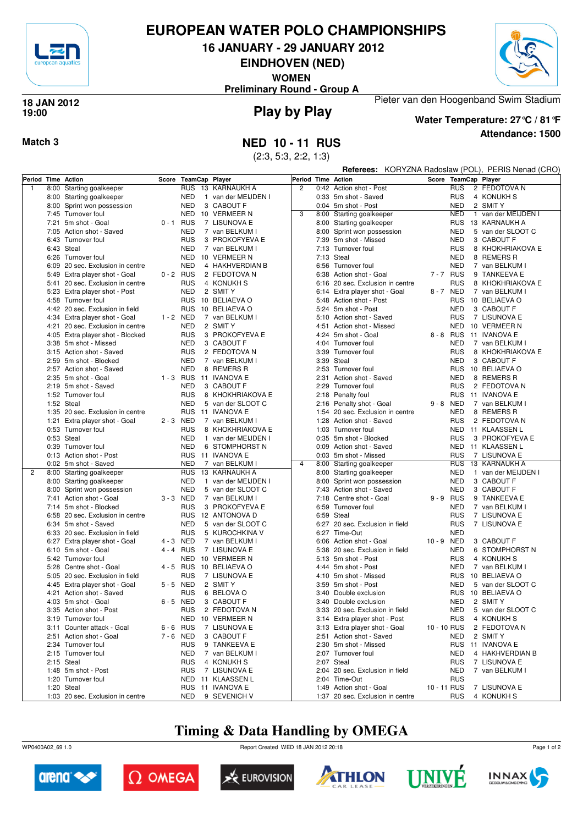

# **EUROPEAN WATER POLO CHAMPIONSHIPS**

**16 JANUARY - 29 JANUARY 2012**

**EINDHOVEN (NED)**

**WOMEN**

**Preliminary Round - Group A**



### **Play by Play 18 JAN 2012 19:00**



**Attendance: 1500 Water Temperature: 27°C / 81°F**

**Referees:** KORYZNA Radoslaw (POL), PERIS Nenad (CRO)

## **Match 3 NED 10 - 11 RUS**

(2:3, 5:3, 2:2, 1:3)

|              | Period Time Action               |             | Score TeamCap Player       |                     | Period Time Action |      |                                  |             |            | Score TeamCap Player              |
|--------------|----------------------------------|-------------|----------------------------|---------------------|--------------------|------|----------------------------------|-------------|------------|-----------------------------------|
| $\mathbf{1}$ | 8:00 Starting goalkeeper         |             |                            | RUS 13 KARNAUKH A   | $\overline{2}$     |      | 0:42 Action shot - Post          |             | <b>RUS</b> | 2 FEDOTOVA N                      |
|              | 8:00 Starting goalkeeper         |             | <b>NED</b>                 | 1 van der MEIJDEN I |                    |      | 0:33 5m shot - Saved             |             | <b>RUS</b> | 4 KONUKH S                        |
|              | 8:00 Sprint won possession       |             | <b>NED</b>                 | 3 CABOUT F          |                    |      | 0:04 5m shot - Post              |             | <b>NED</b> | 2 SMIT Y                          |
|              | 7:45 Turnover foul               |             | NED                        | 10 VERMEER N        | 3                  |      | 8:00 Starting goalkeeper         |             | <b>NED</b> | van der MEIJDEN I<br>$\mathbf{1}$ |
|              | 7:21 5m shot - Goal              | $0 - 1$ RUS |                            | 7 LISUNOVA E        |                    |      | 8:00 Starting goalkeeper         |             | <b>RUS</b> | 13 KARNAUKH A                     |
|              | 7:05 Action shot - Saved         |             | <b>NED</b>                 | 7 van BELKUM I      |                    |      | 8:00 Sprint won possession       |             | <b>NED</b> | 5 van der SLOOT C                 |
|              | 6:43 Turnover foul               |             | <b>RUS</b>                 | 3 PROKOFYEVA E      |                    |      | 7:39 5m shot - Missed            |             | <b>NED</b> | 3 CABOUT F                        |
|              | 6:43 Steal                       |             | <b>NED</b>                 | 7 van BELKUM I      |                    |      | 7:13 Turnover foul               |             | <b>RUS</b> | 8 KHOKHRIAKOVA E                  |
|              | 6:26 Turnover foul               |             | NED                        | 10 VERMEER N        |                    |      | 7:13 Steal                       |             | <b>NED</b> | 8 REMERS R                        |
|              |                                  |             | <b>NED</b>                 |                     |                    |      |                                  |             | <b>NED</b> | 7 van BELKUM I                    |
|              | 6:09 20 sec. Exclusion in centre |             |                            | 4 HAKHVERDIAN B     |                    |      | 6:56 Turnover foul               |             |            |                                   |
|              | 5:49 Extra player shot - Goal    | $0 - 2$ RUS |                            | 2 FEDOTOVA N        |                    | 6:38 | Action shot - Goal               | 7-7 RUS     |            | 9 TANKEEVA E                      |
|              | 5:41 20 sec. Exclusion in centre |             | <b>RUS</b>                 | 4 KONUKH S          |                    |      | 6:16 20 sec. Exclusion in centre |             | <b>RUS</b> | 8 KHOKHRIAKOVA E                  |
|              | 5:23 Extra player shot - Post    |             | <b>NED</b>                 | 2 SMIT Y            |                    |      | 6:14 Extra player shot - Goal    | 8-7 NED     |            | 7 van BELKUM I                    |
|              | 4:58 Turnover foul               |             | <b>RUS</b>                 | 10 BELIAEVA O       |                    |      | 5:48 Action shot - Post          |             | <b>RUS</b> | 10 BELIAEVA O                     |
|              | 4:42 20 sec. Exclusion in field  |             | <b>RUS</b>                 | 10 BELIAEVA O       |                    |      | 5:24 5m shot - Post              |             | <b>NED</b> | 3 CABOUT F                        |
|              | 4:34 Extra player shot - Goal    | 1 - 2 NED   |                            | 7 van BELKUM I      |                    |      | 5:10 Action shot - Saved         |             | <b>RUS</b> | 7 LISUNOVA E                      |
|              | 4:21 20 sec. Exclusion in centre |             | <b>NED</b>                 | 2 SMIT Y            |                    | 4:51 | Action shot - Missed             |             | <b>NED</b> | 10 VERMEER N                      |
|              | 4:05 Extra player shot - Blocked |             | <b>RUS</b>                 | 3 PROKOFYEVA E      |                    |      | 4:24 5m shot - Goal              | 8-8 RUS     |            | 11 IVANOVA E                      |
|              | 3:38 5m shot - Missed            |             | <b>NED</b>                 | 3 CABOUT F          |                    |      | 4:04 Turnover foul               |             | <b>NED</b> | 7 van BELKUM I                    |
|              | 3:15 Action shot - Saved         |             | <b>RUS</b>                 | 2 FEDOTOVA N        |                    |      | 3:39 Turnover foul               |             | <b>RUS</b> | 8 KHOKHRIAKOVA E                  |
|              | 2:59 5m shot - Blocked           |             | <b>NED</b>                 | 7 van BELKUM I      |                    |      | 3:39 Steal                       |             | <b>NED</b> | 3 CABOUT F                        |
|              | 2:57 Action shot - Saved         |             | <b>NED</b>                 | 8 REMERS R          |                    |      | 2:53 Turnover foul               |             | <b>RUS</b> | 10 BELIAEVA O                     |
|              | 2:35 5m shot - Goal              | $1 - 3$ RUS |                            | 11 IVANOVA E        |                    | 2:31 | Action shot - Saved              |             | <b>NED</b> | 8 REMERS R                        |
|              | 2:19 5m shot - Saved             |             | <b>NED</b>                 | 3 CABOUT F          |                    | 2:29 | Turnover foul                    |             | <b>RUS</b> | 2 FEDOTOVA N                      |
|              | 1:52 Turnover foul               |             | <b>RUS</b>                 | 8 KHOKHRIAKOVA E    |                    |      | 2:18 Penalty foul                |             | <b>RUS</b> | 11 IVANOVA E                      |
|              | 1:52 Steal                       |             | <b>NED</b>                 | 5 van der SLOOT C   |                    |      | 2:16 Penalty shot - Goal         | $9 - 8$     | NED        | 7 van BELKUM I                    |
|              | 1:35 20 sec. Exclusion in centre |             | <b>RUS</b>                 | 11 IVANOVA E        |                    |      | 1:54 20 sec. Exclusion in centre |             | <b>NED</b> | 8 REMERS R                        |
|              | 1:21 Extra player shot - Goal    | 2 - 3 NED   |                            | 7 van BELKUM I      |                    | 1:28 | Action shot - Saved              |             | <b>RUS</b> | 2 FEDOTOVA N                      |
|              | 0:53 Turnover foul               |             | <b>RUS</b>                 | 8 KHOKHRIAKOVA E    |                    |      | 1:03 Turnover foul               |             | NED        | 11 KLAASSEN L                     |
|              | 0:53 Steal                       |             | <b>NED</b><br>$\mathbf{1}$ | van der MEIJDEN I   |                    |      | 0:35 5m shot - Blocked           |             | <b>RUS</b> | 3 PROKOFYEVA E                    |
|              | 0:39 Turnover foul               |             | <b>NED</b>                 | 6 STOMPHORST N      |                    |      | 0:09 Action shot - Saved         |             | NED        | 11 KLAASSEN L                     |
|              | 0:13 Action shot - Post          |             | <b>RUS</b>                 | 11 IVANOVA E        |                    |      | 0:03 5m shot - Missed            |             | <b>RUS</b> | 7 LISUNOVA E                      |
|              | 0:02 5m shot - Saved             |             | <b>NED</b>                 | 7 van BELKUM I      | $\overline{4}$     |      | 8:00 Starting goalkeeper         |             | <b>RUS</b> | 13 KARNAUKH A                     |
| 2            | 8:00 Starting goalkeeper         |             | <b>RUS</b>                 | 13 KARNAUKH A       |                    |      | 8:00 Starting goalkeeper         |             | <b>NED</b> | 1 van der MEIJDEN I               |
|              |                                  |             | <b>NED</b><br>$\mathbf{1}$ | van der MEIJDEN I   |                    |      |                                  |             | <b>NED</b> | 3 CABOUT F                        |
|              | 8:00 Starting goalkeeper         |             |                            |                     |                    | 8:00 | Sprint won possession            |             |            |                                   |
|              | 8:00 Sprint won possession       |             | <b>NED</b>                 | 5 van der SLOOT C   |                    |      | 7:43 Action shot - Saved         |             | <b>NED</b> | 3 CABOUT F                        |
|              | 7:41 Action shot - Goal          | 3-3 NED     |                            | 7 van BELKUM I      |                    | 7:18 | Centre shot - Goal               | $9 - 9$     | RUS        | 9 TANKEEVA E                      |
|              | 7:14 5m shot - Blocked           |             | <b>RUS</b>                 | 3 PROKOFYEVA E      |                    | 6:59 | Turnover foul                    |             | <b>NED</b> | 7 van BELKUM I                    |
|              | 6:58 20 sec. Exclusion in centre |             | <b>RUS</b>                 | 12 ANTONOVA D       |                    |      | 6:59 Steal                       |             | RUS        | 7 LISUNOVA E                      |
|              | 6:34 5m shot - Saved             |             | <b>NED</b>                 | 5 van der SLOOT C   |                    |      | 6:27 20 sec. Exclusion in field  |             | <b>RUS</b> | 7 LISUNOVA E                      |
|              | 6:33 20 sec. Exclusion in field  |             | <b>RUS</b>                 | 5 KUROCHKINA V      |                    | 6:27 | Time-Out                         |             | <b>NED</b> |                                   |
|              | 6:27 Extra player shot - Goal    | 4 - 3 NED   |                            | 7 van BELKUM I      |                    |      | 6:06 Action shot - Goal          | $10 - 9$    | <b>NED</b> | 3 CABOUT F                        |
|              | 6:10 5m shot - Goal              | 4 - 4 RUS   |                            | 7 LISUNOVA E        |                    | 5:38 | 20 sec. Exclusion in field       |             | <b>NED</b> | 6 STOMPHORST N                    |
|              | 5:42 Turnover foul               |             | NED                        | 10 VERMEER N        |                    |      | 5:13 5m shot - Post              |             | RUS        | 4 KONUKH S                        |
|              | 5:28 Centre shot - Goal          | $4 - 5$ RUS |                            | 10 BELIAEVA O       |                    |      | 4:44 5m shot - Post              |             | <b>NED</b> | 7 van BELKUM I                    |
|              | 5:05 20 sec. Exclusion in field  |             | <b>RUS</b>                 | 7 LISUNOVA E        |                    |      | 4:10 5m shot - Missed            |             | <b>RUS</b> | 10 BELIAEVA O                     |
|              | 4:45 Extra player shot - Goal    | 5-5 NED     |                            | 2 SMIT Y            |                    | 3:59 | 5m shot - Post                   |             | <b>NED</b> | 5 van der SLOOT C                 |
|              | 4:21 Action shot - Saved         |             | <b>RUS</b>                 | 6 BELOVA O          |                    | 3:40 | Double exclusion                 |             | <b>RUS</b> | 10 BELIAEVA O                     |
|              | 4:03 5m shot - Goal              | 6-5 NED     |                            | 3 CABOUT F          |                    |      | 3:40 Double exclusion            |             | <b>NED</b> | 2 SMIT Y                          |
|              | 3:35 Action shot - Post          |             | <b>RUS</b>                 | 2 FEDOTOVA N        |                    |      | 3:33 20 sec. Exclusion in field  |             | <b>NED</b> | 5 van der SLOOT C                 |
|              | 3:19 Turnover foul               |             |                            | NED 10 VERMEER N    |                    |      | 3:14 Extra player shot - Post    |             | RUS        | 4 KONUKH S                        |
|              | 3:11 Counter attack - Goal       | $6 - 6$ RUS |                            | 7 LISUNOVA E        |                    |      | 3:13 Extra player shot - Goal    | 10 - 10 RUS |            | 2 FEDOTOVA N                      |
|              | 2:51 Action shot - Goal          | 7-6 NED     |                            | 3 CABOUT F          |                    |      | 2:51 Action shot - Saved         |             | <b>NED</b> | 2 SMIT Y                          |
|              | 2:34 Turnover foul               |             | <b>RUS</b>                 | 9 TANKEEVA E        |                    |      | 2:30 5m shot - Missed            |             |            | RUS 11 IVANOVA E                  |
|              | 2:15 Turnover foul               |             | <b>NED</b>                 | 7 van BELKUM I      |                    |      | 2:07 Turnover foul               |             | <b>NED</b> | 4 HAKHVERDIAN B                   |
|              | 2:15 Steal                       |             | <b>RUS</b>                 | 4 KONUKH S          |                    |      | 2:07 Steal                       |             | <b>RUS</b> | 7 LISUNOVA E                      |
|              | 1:48 5m shot - Post              |             | <b>RUS</b>                 | 7 LISUNOVA E        |                    |      | 2:04 20 sec. Exclusion in field  |             | NED        | 7 van BELKUM I                    |
|              | 1:20 Turnover foul               |             |                            | NED 11 KLAASSEN L   |                    |      | 2:04 Time-Out                    |             | <b>RUS</b> |                                   |
|              | 1:20 Steal                       |             |                            | RUS 11 IVANOVA E    |                    |      | 1:49 Action shot - Goal          | 10 - 11 RUS |            | 7 LISUNOVA E                      |
|              | 1:03 20 sec. Exclusion in centre |             | NED                        | 9 SEVENICH V        |                    |      | 1:37 20 sec. Exclusion in centre |             | <b>RUS</b> | 4 KONUKH S                        |

# **Timing & Data Handling by OMEGA**

WP0400A02\_69 1.0 Report Created WED 18 JAN 2012 20:18













Page 1 of 2